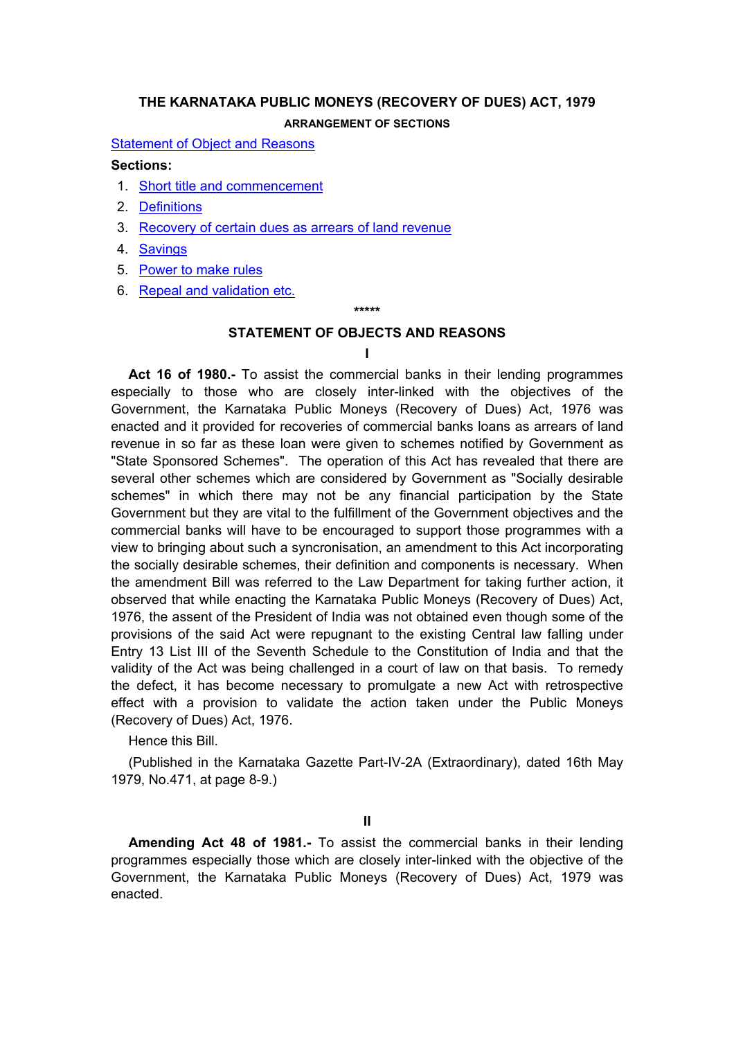# <span id="page-0-0"></span>**THE KARNATAKA PUBLIC MONEYS (RECOVERY OF DUES) ACT, 1979 ARRANGEMENT OF SECTIONS**

**[Statement of Object and Reasons](#page-0-0)** 

#### **Sections:**

- 1. [Short title and commencement](#page-2-0)
- 2. [Definitions](#page-2-0)
- 3. [Recovery of certain dues as arrears of land revenue](#page-3-0)
- 4. [Savings](#page-4-0)
- 5. [Power to make rules](#page-5-0)
- 6. [Repeal and validation etc.](#page-5-0)

**\*\*\*\*\*** 

### **STATEMENT OF OBJECTS AND REASONS**

### **I**

**Act 16 of 1980.-** To assist the commercial banks in their lending programmes especially to those who are closely inter-linked with the objectives of the Government, the Karnataka Public Moneys (Recovery of Dues) Act, 1976 was enacted and it provided for recoveries of commercial banks loans as arrears of land revenue in so far as these loan were given to schemes notified by Government as "State Sponsored Schemes". The operation of this Act has revealed that there are several other schemes which are considered by Government as "Socially desirable schemes" in which there may not be any financial participation by the State Government but they are vital to the fulfillment of the Government objectives and the commercial banks will have to be encouraged to support those programmes with a view to bringing about such a syncronisation, an amendment to this Act incorporating the socially desirable schemes, their definition and components is necessary. When the amendment Bill was referred to the Law Department for taking further action, it observed that while enacting the Karnataka Public Moneys (Recovery of Dues) Act, 1976, the assent of the President of India was not obtained even though some of the provisions of the said Act were repugnant to the existing Central law falling under Entry 13 List III of the Seventh Schedule to the Constitution of India and that the validity of the Act was being challenged in a court of law on that basis. To remedy the defect, it has become necessary to promulgate a new Act with retrospective effect with a provision to validate the action taken under the Public Moneys (Recovery of Dues) Act, 1976.

Hence this Bill.

 (Published in the Karnataka Gazette Part-IV-2A (Extraordinary), dated 16th May 1979, No.471, at page 8-9.)

**II** 

 **Amending Act 48 of 1981.-** To assist the commercial banks in their lending programmes especially those which are closely inter-linked with the objective of the Government, the Karnataka Public Moneys (Recovery of Dues) Act, 1979 was enacted.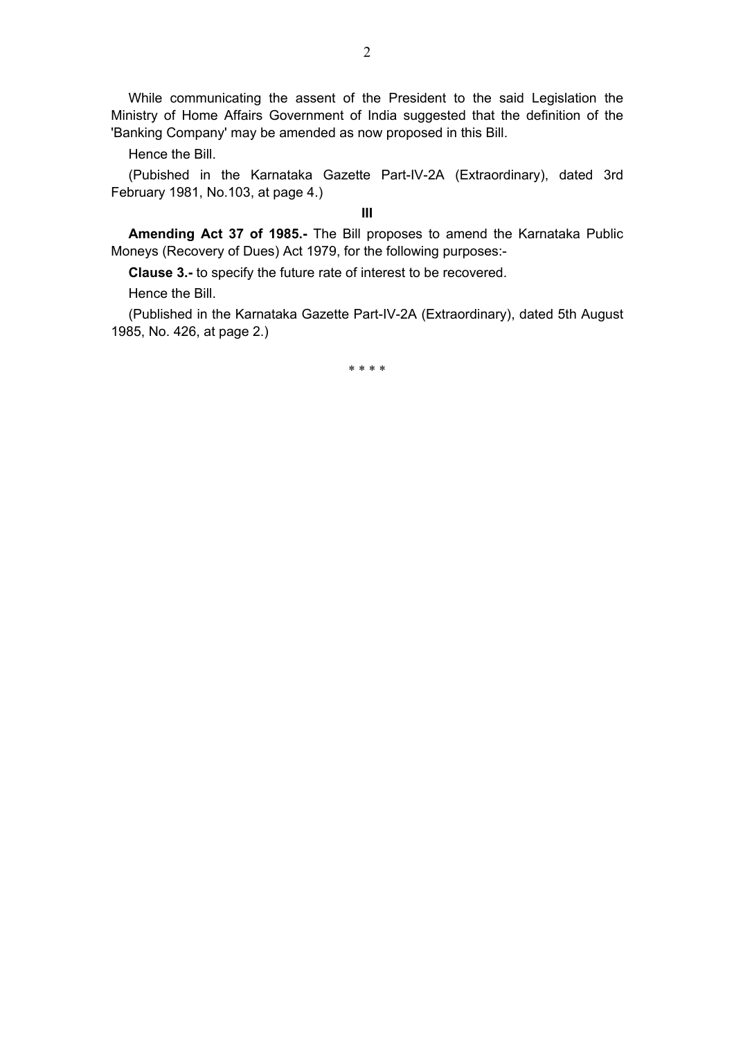While communicating the assent of the President to the said Legislation the Ministry of Home Affairs Government of India suggested that the definition of the 'Banking Company' may be amended as now proposed in this Bill.

Hence the Bill.

 (Pubished in the Karnataka Gazette Part-IV-2A (Extraordinary), dated 3rd February 1981, No.103, at page 4.)

**III** 

 **Amending Act 37 of 1985.-** The Bill proposes to amend the Karnataka Public Moneys (Recovery of Dues) Act 1979, for the following purposes:-

**Clause 3.-** to specify the future rate of interest to be recovered.

Hence the Bill.

 (Published in the Karnataka Gazette Part-IV-2A (Extraordinary), dated 5th August 1985, No. 426, at page 2.)

\* \* \* \*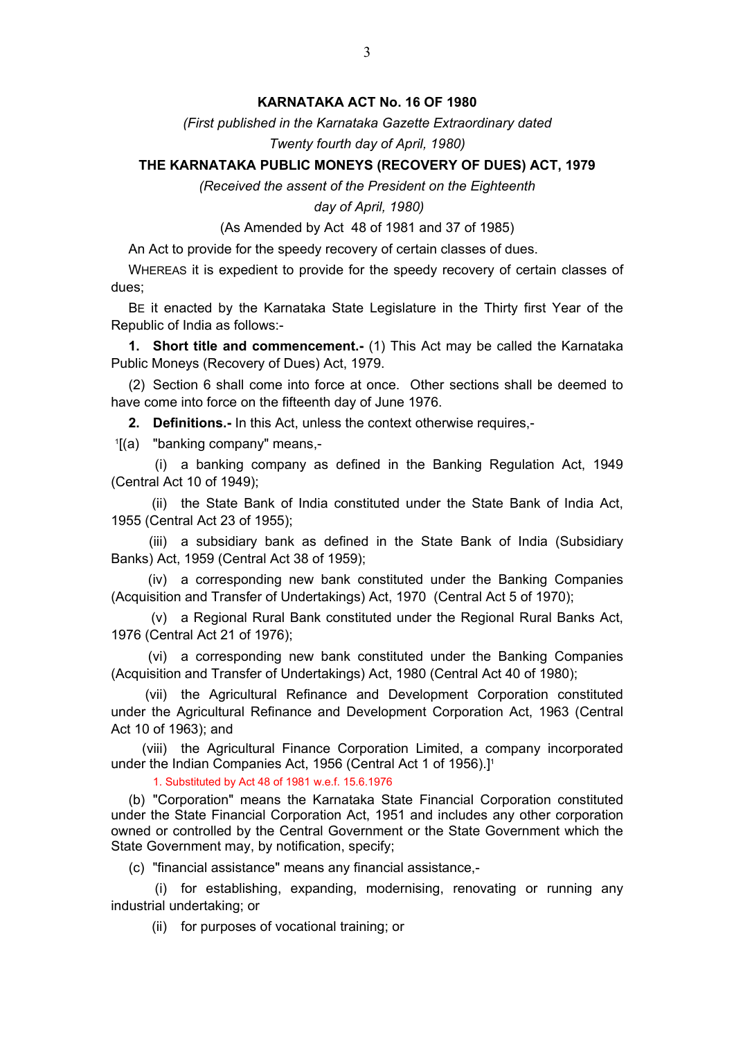# **KARNATAKA ACT No. 16 OF 1980**

*(First published in the Karnataka Gazette Extraordinary dated* 

*Twenty fourth day of April, 1980)*

## <span id="page-2-0"></span>**THE KARNATAKA PUBLIC MONEYS (RECOVERY OF DUES) ACT, 1979**

*(Received the assent of the President on the Eighteenth* 

### *day of April, 1980)*

(As Amended by Act 48 of 1981 and 37 of 1985)

An Act to provide for the speedy recovery of certain classes of dues.

 WHEREAS it is expedient to provide for the speedy recovery of certain classes of dues;

 BE it enacted by the Karnataka State Legislature in the Thirty first Year of the Republic of India as follows:-

**1. Short title and commencement.-** (1) This Act may be called the Karnataka Public Moneys (Recovery of Dues) Act, 1979.

 (2) Section 6 shall come into force at once. Other sections shall be deemed to have come into force on the fifteenth day of June 1976.

**2. Definitions.-** In this Act, unless the context otherwise requires,-

1 [(a) "banking company" means,-

 (i) a banking company as defined in the Banking Regulation Act, 1949 (Central Act 10 of 1949);

 (ii) the State Bank of India constituted under the State Bank of India Act, 1955 (Central Act 23 of 1955);

 (iii) a subsidiary bank as defined in the State Bank of India (Subsidiary Banks) Act, 1959 (Central Act 38 of 1959);

 (iv) a corresponding new bank constituted under the Banking Companies (Acquisition and Transfer of Undertakings) Act, 1970 (Central Act 5 of 1970);

 (v) a Regional Rural Bank constituted under the Regional Rural Banks Act, 1976 (Central Act 21 of 1976);

 (vi) a corresponding new bank constituted under the Banking Companies (Acquisition and Transfer of Undertakings) Act, 1980 (Central Act 40 of 1980);

 (vii) the Agricultural Refinance and Development Corporation constituted under the Agricultural Refinance and Development Corporation Act, 1963 (Central Act 10 of 1963); and

 (viii) the Agricultural Finance Corporation Limited, a company incorporated under the Indian Companies Act, 1956 (Central Act 1 of 1956).]<sup>1</sup>

1. Substituted by Act 48 of 1981 w.e.f. 15.6.1976

 (b) "Corporation" means the Karnataka State Financial Corporation constituted under the State Financial Corporation Act, 1951 and includes any other corporation owned or controlled by the Central Government or the State Government which the State Government may, by notification, specify;

(c) "financial assistance" means any financial assistance,-

 (i) for establishing, expanding, modernising, renovating or running any industrial undertaking; or

(ii) for purposes of vocational training; or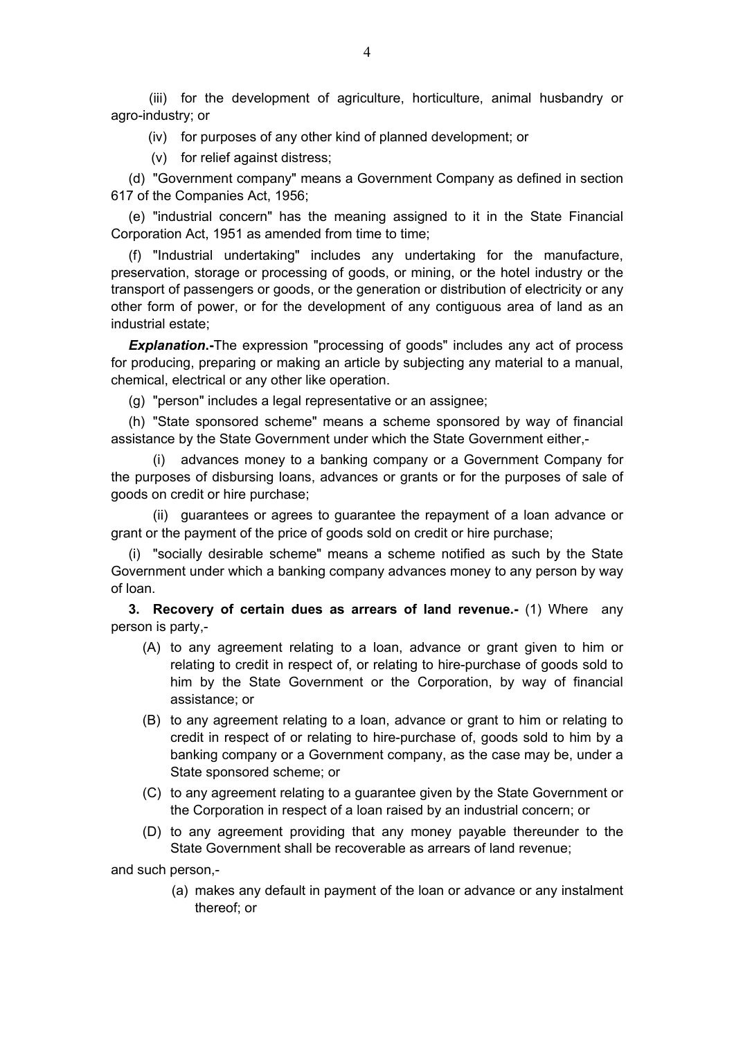<span id="page-3-0"></span> (iii) for the development of agriculture, horticulture, animal husbandry or agro-industry; or

(iv) for purposes of any other kind of planned development; or

(v) for relief against distress;

 (d) "Government company" means a Government Company as defined in section 617 of the Companies Act, 1956;

 (e) "industrial concern" has the meaning assigned to it in the State Financial Corporation Act, 1951 as amended from time to time;

 (f) "Industrial undertaking" includes any undertaking for the manufacture, preservation, storage or processing of goods, or mining, or the hotel industry or the transport of passengers or goods, or the generation or distribution of electricity or any other form of power, or for the development of any contiguous area of land as an industrial estate;

*Explanation***.-**The expression "processing of goods" includes any act of process for producing, preparing or making an article by subjecting any material to a manual, chemical, electrical or any other like operation.

(g) "person" includes a legal representative or an assignee;

 (h) "State sponsored scheme" means a scheme sponsored by way of financial assistance by the State Government under which the State Government either,-

 (i) advances money to a banking company or a Government Company for the purposes of disbursing loans, advances or grants or for the purposes of sale of goods on credit or hire purchase;

 (ii) guarantees or agrees to guarantee the repayment of a loan advance or grant or the payment of the price of goods sold on credit or hire purchase;

"socially desirable scheme" means a scheme notified as such by the State Government under which a banking company advances money to any person by way of loan.

**3. Recovery of certain dues as arrears of land revenue.-** (1) Where any person is party,-

- (A) to any agreement relating to a loan, advance or grant given to him or relating to credit in respect of, or relating to hire-purchase of goods sold to him by the State Government or the Corporation, by way of financial assistance; or
- (B) to any agreement relating to a loan, advance or grant to him or relating to credit in respect of or relating to hire-purchase of, goods sold to him by a banking company or a Government company, as the case may be, under a State sponsored scheme; or
- (C) to any agreement relating to a guarantee given by the State Government or the Corporation in respect of a loan raised by an industrial concern; or
- (D) to any agreement providing that any money payable thereunder to the State Government shall be recoverable as arrears of land revenue;

and such person,-

 (a) makes any default in payment of the loan or advance or any instalment thereof; or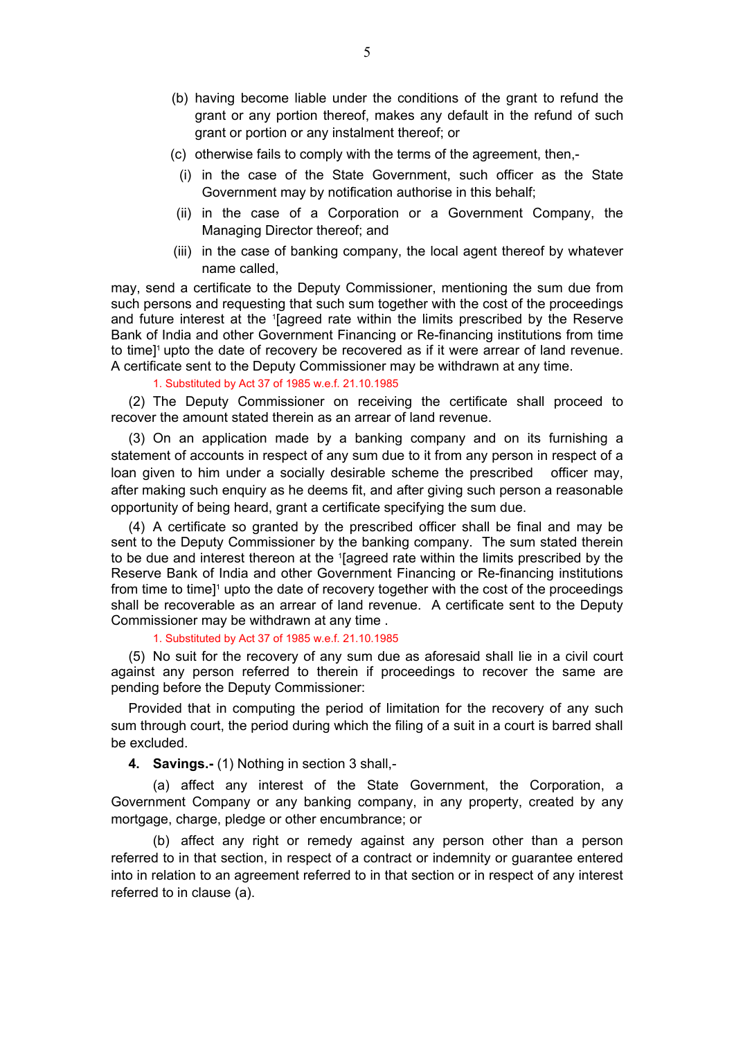- <span id="page-4-0"></span> (b) having become liable under the conditions of the grant to refund the grant or any portion thereof, makes any default in the refund of such grant or portion or any instalment thereof; or
- (c) otherwise fails to comply with the terms of the agreement, then,-
	- (i) in the case of the State Government, such officer as the State Government may by notification authorise in this behalf;
- (ii) in the case of a Corporation or a Government Company, the Managing Director thereof; and
- (iii) in the case of banking company, the local agent thereof by whatever name called,

may, send a certificate to the Deputy Commissioner, mentioning the sum due from such persons and requesting that such sum together with the cost of the proceedings and future interest at the 1 [agreed rate within the limits prescribed by the Reserve Bank of India and other Government Financing or Re-financing institutions from time to time]<sup>1</sup> upto the date of recovery be recovered as if it were arrear of land revenue. A certificate sent to the Deputy Commissioner may be withdrawn at any time.

#### 1. Substituted by Act 37 of 1985 w.e.f. 21.10.1985

 (2) The Deputy Commissioner on receiving the certificate shall proceed to recover the amount stated therein as an arrear of land revenue.

 (3) On an application made by a banking company and on its furnishing a statement of accounts in respect of any sum due to it from any person in respect of a loan given to him under a socially desirable scheme the prescribed officer may, after making such enquiry as he deems fit, and after giving such person a reasonable opportunity of being heard, grant a certificate specifying the sum due.

 (4) A certificate so granted by the prescribed officer shall be final and may be sent to the Deputy Commissioner by the banking company. The sum stated therein to be due and interest thereon at the '[agreed rate within the limits prescribed by the Reserve Bank of India and other Government Financing or Re-financing institutions from time to time]<sup>1</sup> upto the date of recovery together with the cost of the proceedings shall be recoverable as an arrear of land revenue. A certificate sent to the Deputy Commissioner may be withdrawn at any time .

1. Substituted by Act 37 of 1985 w.e.f. 21.10.1985

 (5) No suit for the recovery of any sum due as aforesaid shall lie in a civil court against any person referred to therein if proceedings to recover the same are pending before the Deputy Commissioner:

 Provided that in computing the period of limitation for the recovery of any such sum through court, the period during which the filing of a suit in a court is barred shall be excluded.

**4. Savings.-** (1) Nothing in section 3 shall,-

 (a) affect any interest of the State Government, the Corporation, a Government Company or any banking company, in any property, created by any mortgage, charge, pledge or other encumbrance; or

 (b) affect any right or remedy against any person other than a person referred to in that section, in respect of a contract or indemnity or guarantee entered into in relation to an agreement referred to in that section or in respect of any interest referred to in clause (a).